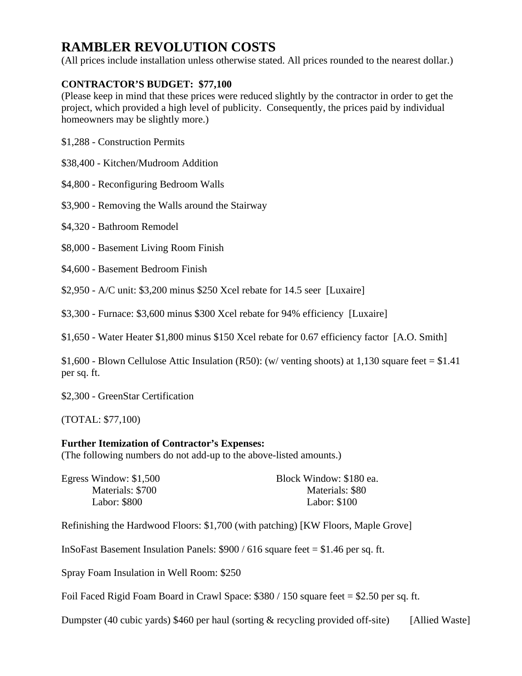# **RAMBLER REVOLUTION COSTS**

(All prices include installation unless otherwise stated. All prices rounded to the nearest dollar.)

# **CONTRACTOR'S BUDGET: \$77,100**

(Please keep in mind that these prices were reduced slightly by the contractor in order to get the project, which provided a high level of publicity. Consequently, the prices paid by individual homeowners may be slightly more.)

\$1,288 - Construction Permits

\$38,400 - Kitchen/Mudroom Addition

\$4,800 - Reconfiguring Bedroom Walls

\$3,900 - Removing the Walls around the Stairway

\$4,320 - Bathroom Remodel

\$8,000 - Basement Living Room Finish

\$4,600 - Basement Bedroom Finish

\$2,950 - A/C unit: \$3,200 minus \$250 Xcel rebate for 14.5 seer [Luxaire]

\$3,300 - Furnace: \$3,600 minus \$300 Xcel rebate for 94% efficiency [Luxaire]

\$1,650 - Water Heater \$1,800 minus \$150 Xcel rebate for 0.67 efficiency factor [A.O. Smith]

\$1,600 - Blown Cellulose Attic Insulation (R50): (w/ venting shoots) at 1,130 square feet = \$1.41 per sq. ft.

\$2,300 - GreenStar Certification

(TOTAL: \$77,100)

#### **Further Itemization of Contractor's Expenses:**

(The following numbers do not add-up to the above-listed amounts.)

| Egress Window: $$1,500$ | Block Window: \$180 ea. |
|-------------------------|-------------------------|
| Materials: \$700        | Materials: \$80         |
| Labor: \$800            | Labor: \$100            |

Refinishing the Hardwood Floors: \$1,700 (with patching) [KW Floors, Maple Grove]

InSoFast Basement Insulation Panels: \$900 / 616 square feet = \$1.46 per sq. ft.

Spray Foam Insulation in Well Room: \$250

Foil Faced Rigid Foam Board in Crawl Space: \$380 / 150 square feet = \$2.50 per sq. ft.

Dumpster (40 cubic yards) \$460 per haul (sorting & recycling provided off-site) [Allied Waste]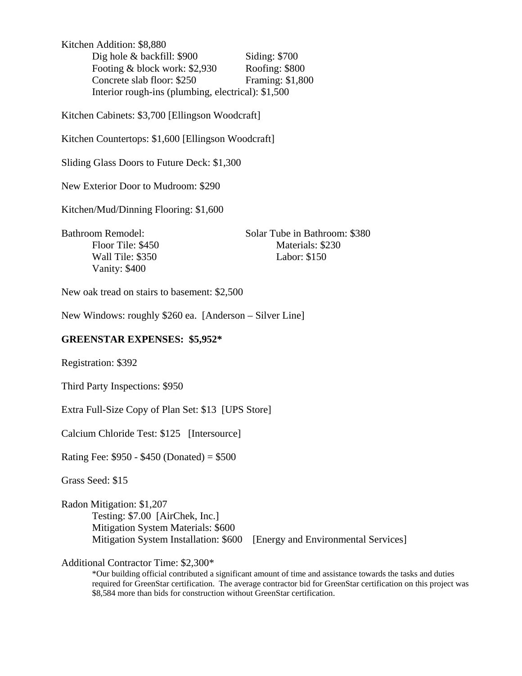Kitchen Addition: \$8,880 Dig hole & backfill: \$900 Siding: \$700 Footing & block work: \$2,930 Roofing: \$800 Concrete slab floor: \$250 Framing: \$1,800 Interior rough-ins (plumbing, electrical): \$1,500

Kitchen Cabinets: \$3,700 [Ellingson Woodcraft]

Kitchen Countertops: \$1,600 [Ellingson Woodcraft]

Sliding Glass Doors to Future Deck: \$1,300

New Exterior Door to Mudroom: \$290

Kitchen/Mud/Dinning Flooring: \$1,600

Bathroom Remodel: Solar Tube in Bathroom: \$380 Floor Tile: \$450 Materials: \$230 Wall Tile: \$350 Labor: \$150 Vanity: \$400

New oak tread on stairs to basement: \$2,500

New Windows: roughly \$260 ea. [Anderson – Silver Line]

#### **GREENSTAR EXPENSES: \$5,952\***

Registration: \$392

Third Party Inspections: \$950

Extra Full-Size Copy of Plan Set: \$13 [UPS Store]

Calcium Chloride Test: \$125 [Intersource]

Rating Fee: \$950 - \$450 (Donated) = \$500

Grass Seed: \$15

Radon Mitigation: \$1,207 Testing: \$7.00 [AirChek, Inc.] Mitigation System Materials: \$600 Mitigation System Installation: \$600 [Energy and Environmental Services]

Additional Contractor Time: \$2,300\*

\*Our building official contributed a significant amount of time and assistance towards the tasks and duties required for GreenStar certification. The average contractor bid for GreenStar certification on this project was \$8,584 more than bids for construction without GreenStar certification.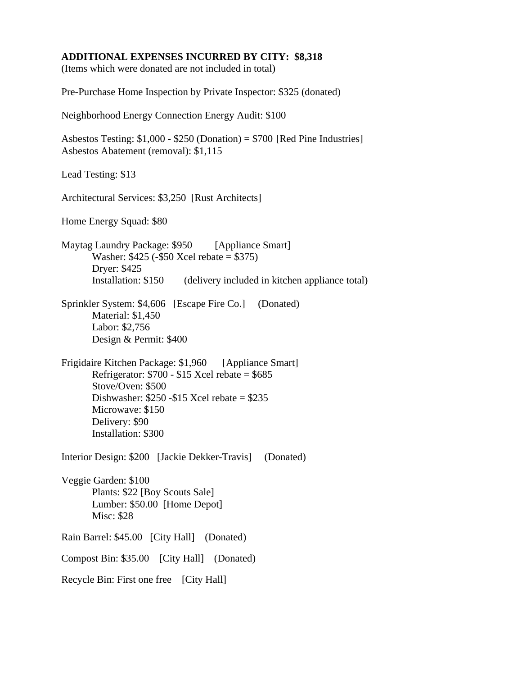## **ADDITIONAL EXPENSES INCURRED BY CITY: \$8,318**

(Items which were donated are not included in total)

Pre-Purchase Home Inspection by Private Inspector: \$325 (donated)

Neighborhood Energy Connection Energy Audit: \$100

Asbestos Testing:  $$1,000 - $250$  (Donation) =  $$700$  [Red Pine Industries] Asbestos Abatement (removal): \$1,115

Lead Testing: \$13

Architectural Services: \$3,250 [Rust Architects]

Home Energy Squad: \$80

Maytag Laundry Package: \$950 [Appliance Smart] Washer: \$425 (-\$50 Xcel rebate = \$375) Dryer: \$425 Installation: \$150 (delivery included in kitchen appliance total)

Sprinkler System: \$4,606 [Escape Fire Co.] (Donated) Material: \$1,450 Labor: \$2,756 Design & Permit: \$400

Frigidaire Kitchen Package: \$1,960 [Appliance Smart] Refrigerator:  $$700 - $15$  Xcel rebate = \$685 Stove/Oven: \$500 Dishwasher: \$250 -\$15 Xcel rebate = \$235 Microwave: \$150 Delivery: \$90 Installation: \$300

Interior Design: \$200 [Jackie Dekker-Travis] (Donated)

Veggie Garden: \$100 Plants: \$22 [Boy Scouts Sale] Lumber: \$50.00 [Home Depot] Misc: \$28

Rain Barrel: \$45.00 [City Hall] (Donated) Compost Bin: \$35.00 [City Hall] (Donated) Recycle Bin: First one free [City Hall]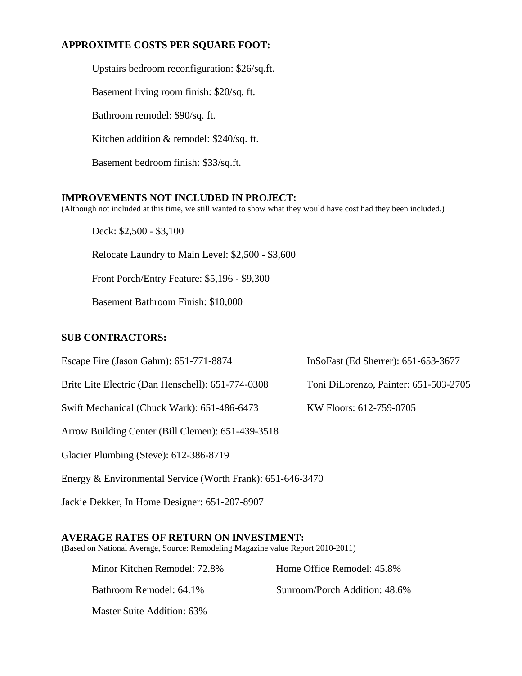# **APPROXIMTE COSTS PER SQUARE FOOT:**

Upstairs bedroom reconfiguration: \$26/sq.ft. Basement living room finish: \$20/sq. ft. Bathroom remodel: \$90/sq. ft. Kitchen addition & remodel: \$240/sq. ft. Basement bedroom finish: \$33/sq.ft.

## **IMPROVEMENTS NOT INCLUDED IN PROJECT:**

(Although not included at this time, we still wanted to show what they would have cost had they been included.)

Deck: \$2,500 - \$3,100

Relocate Laundry to Main Level: \$2,500 - \$3,600

Front Porch/Entry Feature: \$5,196 - \$9,300

Basement Bathroom Finish: \$10,000

## **SUB CONTRACTORS:**

Escape Fire (Jason Gahm): 651-771-8874 InSoFast (Ed Sherrer): 651-653-3677

Brite Lite Electric (Dan Henschell): 651-774-0308 Toni DiLorenzo, Painter: 651-503-2705

Swift Mechanical (Chuck Wark): 651-486-6473 KW Floors: 612-759-0705

Arrow Building Center (Bill Clemen): 651-439-3518

Glacier Plumbing (Steve): 612-386-8719

Energy & Environmental Service (Worth Frank): 651-646-3470

Jackie Dekker, In Home Designer: 651-207-8907

#### **AVERAGE RATES OF RETURN ON INVESTMENT:**

(Based on National Average, Source: Remodeling Magazine value Report 2010-2011)

| Minor Kitchen Remodel: 72.8% | Home Office Remodel: 45.8%    |
|------------------------------|-------------------------------|
| Bathroom Remodel: 64.1%      | Sunroom/Porch Addition: 48.6% |
| Master Suite Addition: 63%   |                               |